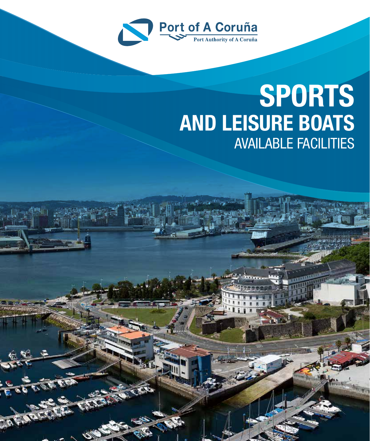

## **SPORTS AND LEISURE BOATS** AVAILABLE FACILITIES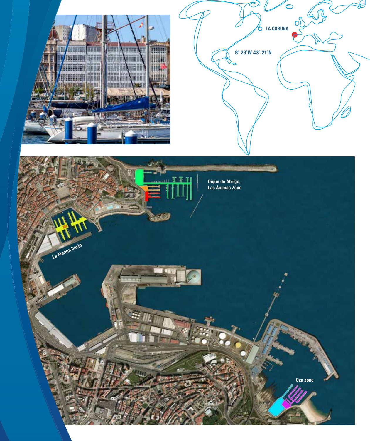

ob CP **LA CORUÑA**

**8º 23'W 43º 21'N**

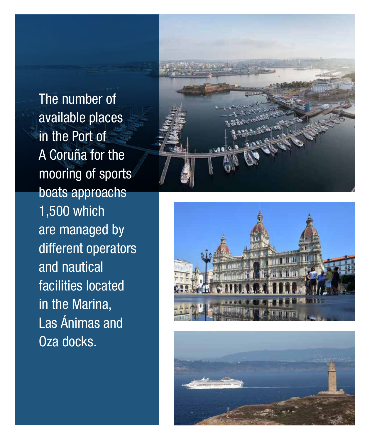The number of available places in the Port of A Coruña for the mooring of sports boats approachs 1,500 which are managed by different operators and nautical facilities located in the Marina, Las Ánimas and Oza docks.





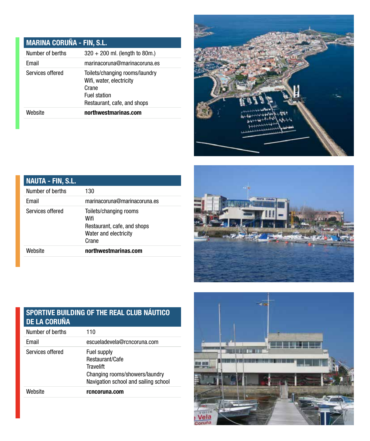### **MARINA CORUÑA - FIN, S.L.**

| Number of berths | $320 + 200$ ml. (length to 80m.)                                                                                          |
|------------------|---------------------------------------------------------------------------------------------------------------------------|
| Email            | marinacoruna@marinacoruna.es                                                                                              |
| Services offered | Toilets/changing rooms/laundry<br>Wifi, water, electricity<br>Crane<br><b>Fuel station</b><br>Restaurant, cafe, and shops |
| Website          | northwestmarinas.com                                                                                                      |



| <b>NAUTA - FIN, S.L.</b> |                                                                                                 |
|--------------------------|-------------------------------------------------------------------------------------------------|
| Number of berths         | 130                                                                                             |
| Email                    | marinacoruna@marinacoruna.es                                                                    |
| Services offered         | Toilets/changing rooms<br>Wifi<br>Restaurant, cafe, and shops<br>Water and electricity<br>Crane |
| Website                  | northwestmarinas.com                                                                            |



# **HH NH Vela**<br>Coruña

#### **SPORTIVE BUILDING OF THE REAL CLUB NÁUTICO DE LA CORUÑA**

| Number of berths | 110                                                                                                                   |
|------------------|-----------------------------------------------------------------------------------------------------------------------|
| Email            | escueladevela@rcncoruna.com                                                                                           |
| Services offered | Fuel supply<br>Restaurant/Cafe<br>Travelift<br>Changing rooms/showers/laundry<br>Navigation school and sailing school |
| Website          | rcncoruna.com                                                                                                         |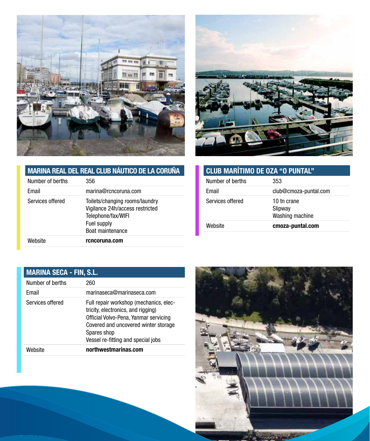



| <b>MARINA REAL DEL REAL CLUB NÁUTICO DE LA CORUÑA</b> |                                                                                         | <b>CLL</b> |
|-------------------------------------------------------|-----------------------------------------------------------------------------------------|------------|
| Number of berths                                      | 356                                                                                     | Num        |
| Email                                                 | marina@rcncoruna.com                                                                    | Ema        |
| Services offered                                      | Toilets/changing rooms/laundry<br>Vigilance 24h/access restricted<br>Telephone/fax/WIFI | Serv       |
|                                                       | Fuel supply<br>Boat maintenance                                                         | Web        |
| Website                                               | rcncoruna.com                                                                           |            |

| <b>CLUB MARÍTIMO DE OZA "O PUNTAL"</b>    |  |
|-------------------------------------------|--|
| 353                                       |  |
| club@cmoza-puntal.com                     |  |
| 10 tn crane<br>Slipway<br>Washing machine |  |
| cmoza-puntal.com                          |  |
|                                           |  |

| <b>MARINA SECA - FIN, S.L.</b> |                                                                                                                                                                                                                    |
|--------------------------------|--------------------------------------------------------------------------------------------------------------------------------------------------------------------------------------------------------------------|
| Number of berths               | 260                                                                                                                                                                                                                |
| Email                          | marinaseca@marinaseca.com                                                                                                                                                                                          |
| Services offered               | Full repair workshop (mechanics, elec-<br>tricity, electronics, and rigging)<br>Official Volvo-Pena, Yanmar servicing<br>Covered and uncovered winter storage<br>Spares shop<br>Vessel re-fitting and special jobs |
| Website                        | northwestmarinas.com                                                                                                                                                                                               |